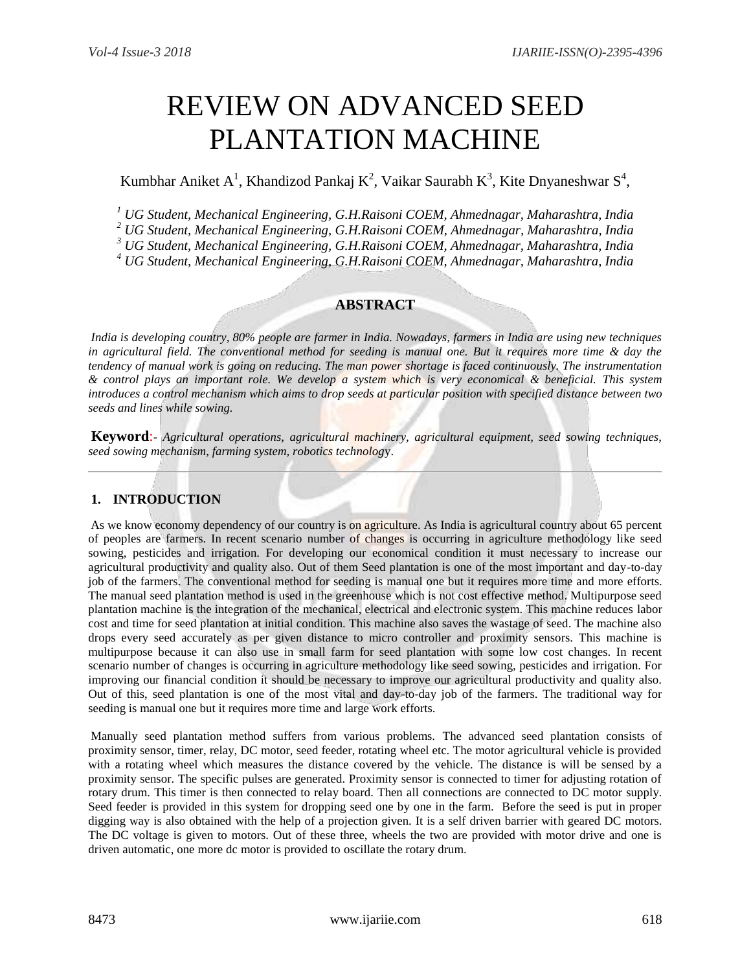# REVIEW ON ADVANCED SEED PLANTATION MACHINE

# Kumbhar Aniket A<sup>1</sup>, Khandizod Pankaj K<sup>2</sup>, Vaikar Saurabh K<sup>3</sup>, Kite Dnyaneshwar S<sup>4</sup>,

*<sup>1</sup> UG Student, Mechanical Engineering, G.H.Raisoni COEM, Ahmednagar, Maharashtra, India*

*<sup>2</sup> UG Student, Mechanical Engineering, G.H.Raisoni COEM, Ahmednagar, Maharashtra, India*

*<sup>3</sup> UG Student, Mechanical Engineering, G.H.Raisoni COEM, Ahmednagar, Maharashtra, India*

*<sup>4</sup> UG Student, Mechanical Engineering, G.H.Raisoni COEM, Ahmednagar, Maharashtra, India*

#### **ABSTRACT**

*India is developing country, 80% people are farmer in India. Nowadays, farmers in India are using new techniques in agricultural field. The conventional method for seeding is manual one. But it requires more time & day the tendency of manual work is going on reducing. The man power shortage is faced continuously. The instrumentation & control plays an important role. We develop a system which is very economical & beneficial. This system introduces a control mechanism which aims to drop seeds at particular position with specified distance between two seeds and lines while sowing.* 

**Keyword**:**-** *Agricultural operations, agricultural machinery, agricultural equipment, seed sowing techniques, seed sowing mechanism, farming system, robotics technolog*y.

### **1. INTRODUCTION**

As we know economy dependency of our country is on agriculture. As India is agricultural country about 65 percent of peoples are farmers. In recent scenario number of changes is occurring in agriculture methodology like seed sowing, pesticides and irrigation. For developing our economical condition it must necessary to increase our agricultural productivity and quality also. Out of them Seed plantation is one of the most important and day-to-day job of the farmers. The conventional method for seeding is manual one but it requires more time and more efforts. The manual seed plantation method is used in the greenhouse which is not cost effective method. Multipurpose seed plantation machine is the integration of the mechanical, electrical and electronic system. This machine reduces labor cost and time for seed plantation at initial condition. This machine also saves the wastage of seed. The machine also drops every seed accurately as per given distance to micro controller and proximity sensors. This machine is multipurpose because it can also use in small farm for seed plantation with some low cost changes. In recent scenario number of changes is occurring in agriculture methodology like seed sowing, pesticides and irrigation. For improving our financial condition it should be necessary to improve our agricultural productivity and quality also. Out of this, seed plantation is one of the most vital and day-to-day job of the farmers. The traditional way for seeding is manual one but it requires more time and large work efforts.

Manually seed plantation method suffers from various problems. The advanced seed plantation consists of proximity sensor, timer, relay, DC motor, seed feeder, rotating wheel etc. The motor agricultural vehicle is provided with a rotating wheel which measures the distance covered by the vehicle. The distance is will be sensed by a proximity sensor. The specific pulses are generated. Proximity sensor is connected to timer for adjusting rotation of rotary drum. This timer is then connected to relay board. Then all connections are connected to DC motor supply. Seed feeder is provided in this system for dropping seed one by one in the farm. Before the seed is put in proper digging way is also obtained with the help of a projection given. It is a self driven barrier with geared DC motors. The DC voltage is given to motors. Out of these three, wheels the two are provided with motor drive and one is driven automatic, one more dc motor is provided to oscillate the rotary drum.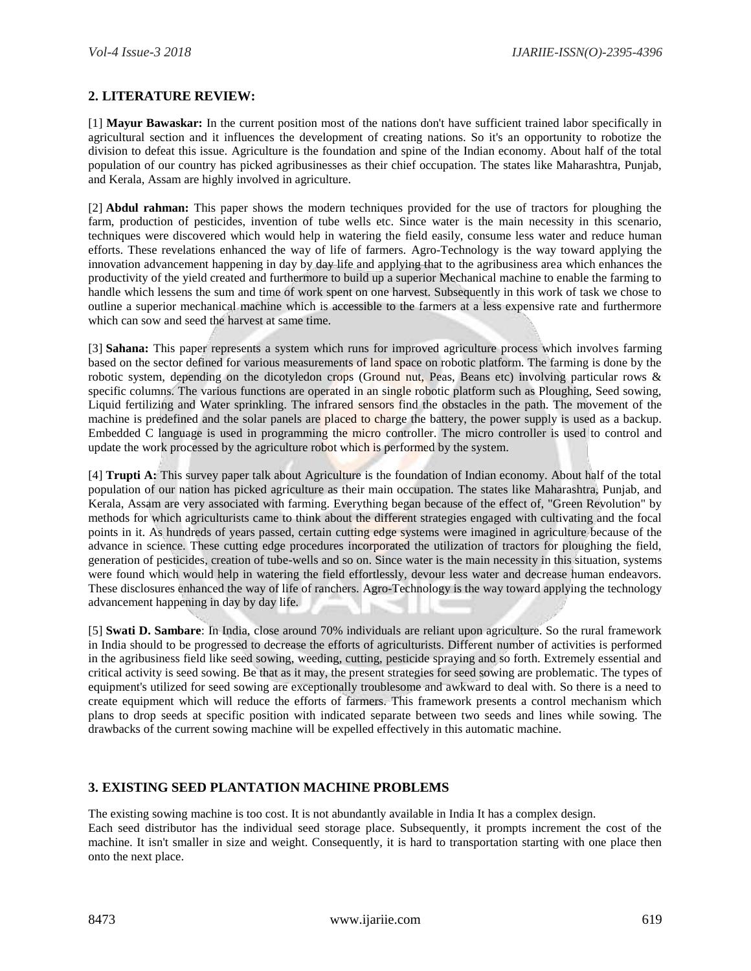#### **2. LITERATURE REVIEW:**

[1] **Mayur Bawaskar:** In the current position most of the nations don't have sufficient trained labor specifically in agricultural section and it influences the development of creating nations. So it's an opportunity to robotize the division to defeat this issue. Agriculture is the foundation and spine of the Indian economy. About half of the total population of our country has picked agribusinesses as their chief occupation. The states like Maharashtra, Punjab, and Kerala, Assam are highly involved in agriculture.

[2] **Abdul rahman:** This paper shows the modern techniques provided for the use of tractors for ploughing the farm, production of pesticides, invention of tube wells etc. Since water is the main necessity in this scenario, techniques were discovered which would help in watering the field easily, consume less water and reduce human efforts. These revelations enhanced the way of life of farmers. Agro-Technology is the way toward applying the innovation advancement happening in day by day life and applying that to the agribusiness area which enhances the productivity of the yield created and furthermore to build up a superior Mechanical machine to enable the farming to handle which lessens the sum and time of work spent on one harvest. Subsequently in this work of task we chose to outline a superior mechanical machine which is accessible to the farmers at a less expensive rate and furthermore which can sow and seed the harvest at same time.

[3] **Sahana:** This paper represents a system which runs for improved agriculture process which involves farming based on the sector defined for various measurements of land space on robotic platform. The farming is done by the robotic system, depending on the dicotyledon crops (Ground nut, Peas, Beans etc) involving particular rows & specific columns. The various functions are operated in an single robotic platform such as Ploughing, Seed sowing, Liquid fertilizing and Water sprinkling. The infrared sensors find the obstacles in the path. The movement of the machine is predefined and the solar panels are placed to charge the battery, the power supply is used as a backup. Embedded C language is used in programming the micro controller. The micro controller is used to control and update the work processed by the agriculture robot which is performed by the system.

[4] **Trupti A:** This survey paper talk about Agriculture is the foundation of Indian economy. About half of the total population of our nation has picked agriculture as their main occupation. The states like Maharashtra, Punjab, and Kerala, Assam are very associated with farming. Everything began because of the effect of, "Green Revolution" by methods for which agriculturists came to think about the different strategies engaged with cultivating and the focal points in it. As hundreds of years passed, certain cutting edge systems were imagined in agriculture because of the advance in science. These cutting edge procedures incorporated the utilization of tractors for ploughing the field, generation of pesticides, creation of tube-wells and so on. Since water is the main necessity in this situation, systems were found which would help in watering the field effortlessly, devour less water and decrease human endeavors. These disclosures enhanced the way of life of ranchers. Agro-Technology is the way toward applying the technology advancement happening in day by day life.

[5] **Swati D. Sambare**: In India, close around 70% individuals are reliant upon agriculture. So the rural framework in India should to be progressed to decrease the efforts of agriculturists. Different number of activities is performed in the agribusiness field like seed sowing, weeding, cutting, pesticide spraying and so forth. Extremely essential and critical activity is seed sowing. Be that as it may, the present strategies for seed sowing are problematic. The types of equipment's utilized for seed sowing are exceptionally troublesome and awkward to deal with. So there is a need to create equipment which will reduce the efforts of farmers. This framework presents a control mechanism which plans to drop seeds at specific position with indicated separate between two seeds and lines while sowing. The drawbacks of the current sowing machine will be expelled effectively in this automatic machine.

#### **3. EXISTING SEED PLANTATION MACHINE PROBLEMS**

The existing sowing machine is too cost. It is not abundantly available in India It has a complex design. Each seed distributor has the individual seed storage place. Subsequently, it prompts increment the cost of the machine. It isn't smaller in size and weight. Consequently, it is hard to transportation starting with one place then onto the next place.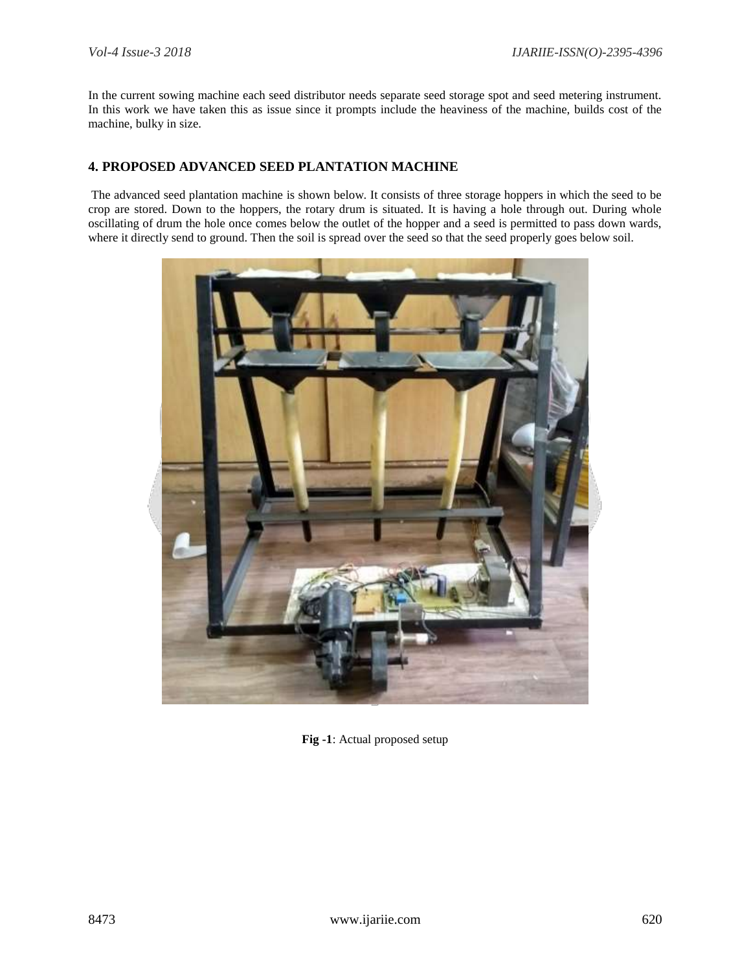In the current sowing machine each seed distributor needs separate seed storage spot and seed metering instrument. In this work we have taken this as issue since it prompts include the heaviness of the machine, builds cost of the machine, bulky in size.

#### **4. PROPOSED ADVANCED SEED PLANTATION MACHINE**

The advanced seed plantation machine is shown below. It consists of three storage hoppers in which the seed to be crop are stored. Down to the hoppers, the rotary drum is situated. It is having a hole through out. During whole oscillating of drum the hole once comes below the outlet of the hopper and a seed is permitted to pass down wards, where it directly send to ground. Then the soil is spread over the seed so that the seed properly goes below soil.



**Fig -1**: Actual proposed setup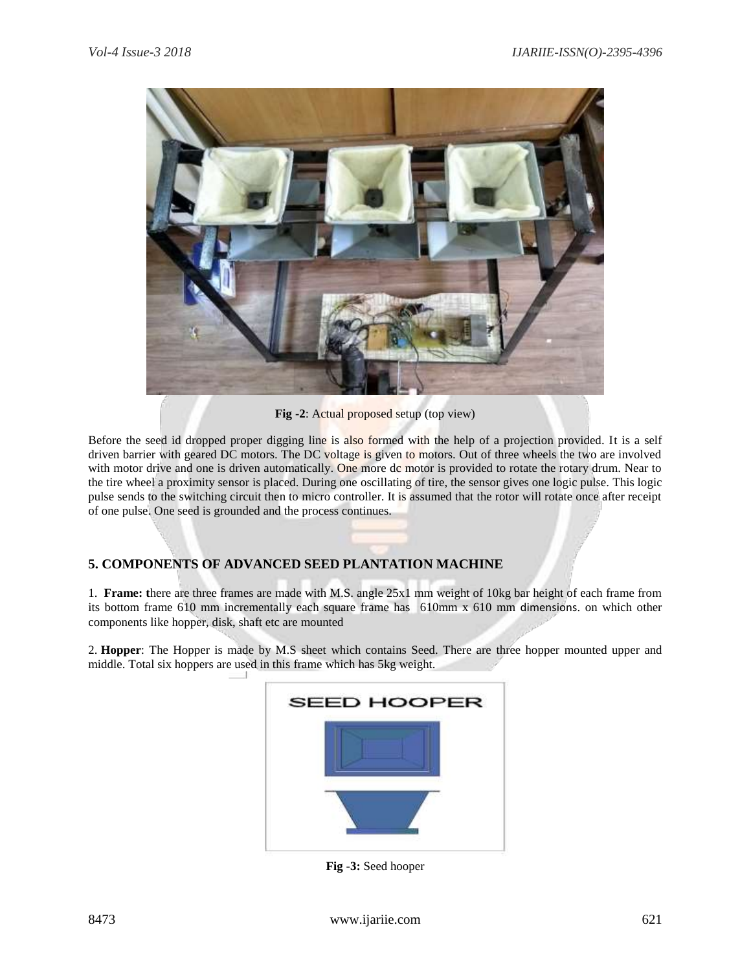

**Fig -2**: Actual proposed setup (top view)

Before the seed id dropped proper digging line is also formed with the help of a projection provided. It is a self driven barrier with geared DC motors. The DC voltage is given to motors. Out of three wheels the two are involved with motor drive and one is driven automatically. One more dc motor is provided to rotate the rotary drum. Near to the tire wheel a proximity sensor is placed. During one oscillating of tire, the sensor gives one logic pulse. This logic pulse sends to the switching circuit then to micro controller. It is assumed that the rotor will rotate once after receipt of one pulse. One seed is grounded and the process continues.

## **5. COMPONENTS OF ADVANCED SEED PLANTATION MACHINE**

1. **Frame: t**here are three frames are made with M.S. angle 25x1 mm weight of 10kg bar height of each frame from its bottom frame 610 mm incrementally each square frame has 610mm x 610 mm dimensions. on which other components like hopper, disk, shaft etc are mounted

2. **Hopper**: The Hopper is made by M.S sheet which contains Seed. There are three hopper mounted upper and middle. Total six hoppers are used in this frame which has 5kg weight.



**Fig -3:** Seed hooper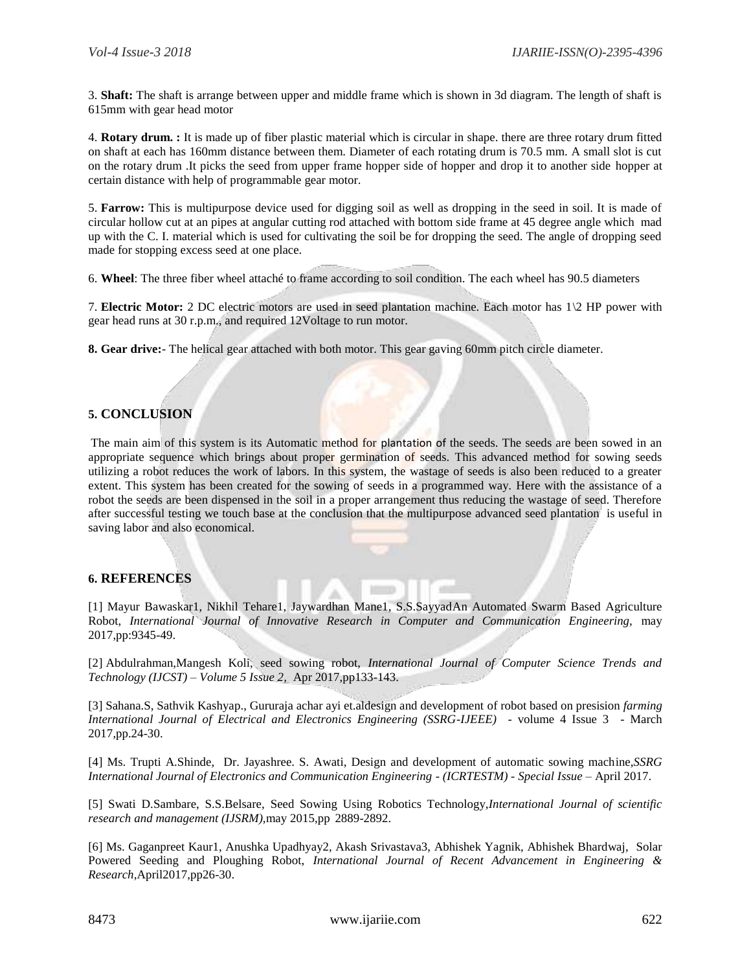3. **Shaft:** The shaft is arrange between upper and middle frame which is shown in 3d diagram. The length of shaft is 615mm with gear head motor

4. **Rotary drum. :** It is made up of fiber plastic material which is circular in shape. there are three rotary drum fitted on shaft at each has 160mm distance between them. Diameter of each rotating drum is 70.5 mm. A small slot is cut on the rotary drum .It picks the seed from upper frame hopper side of hopper and drop it to another side hopper at certain distance with help of programmable gear motor.

5. **Farrow:** This is multipurpose device used for digging soil as well as dropping in the seed in soil. It is made of circular hollow cut at an pipes at angular cutting rod attached with bottom side frame at 45 degree angle which mad up with the C. I. material which is used for cultivating the soil be for dropping the seed. The angle of dropping seed made for stopping excess seed at one place.

6. **Wheel**: The three fiber wheel attaché to frame according to soil condition. The each wheel has 90.5 diameters

7. **Electric Motor:** 2 DC electric motors are used in seed plantation machine. Each motor has 1\2 HP power with gear head runs at 30 r.p.m., and required 12Voltage to run motor.

**8. Gear drive:**- The helical gear attached with both motor. This gear gaving 60mm pitch circle diameter.

#### **5. CONCLUSION**

The main aim of this system is its Automatic method for plantation of the seeds. The seeds are been sowed in an appropriate sequence which brings about proper germination of seeds. This advanced method for sowing seeds utilizing a robot reduces the work of labors. In this system, the wastage of seeds is also been reduced to a greater extent. This system has been created for the sowing of seeds in a programmed way. Here with the assistance of a robot the seeds are been dispensed in the soil in a proper arrangement thus reducing the wastage of seed. Therefore after successful testing we touch base at the conclusion that the multipurpose advanced seed plantation is useful in saving labor and also economical.

#### **6. REFERENCES**

[1] Mayur Bawaskar1, Nikhil Tehare1, Jaywardhan Mane1, S.S.SayyadAn Automated Swarm Based Agriculture Robot, *International Journal of Innovative Research in Computer and Communication Engineering*, may 2017,pp:9345-49.

[2] Abdulrahman,Mangesh Koli, seed sowing robot, *International Journal of Computer Science Trends and Technology (IJCST) – Volume 5 Issue 2,* Apr 2017,pp133-143.

[3] Sahana.S, Sathvik Kashyap., Gururaja achar ayi et.aldesign and development of robot based on presision *farming International Journal of Electrical and Electronics Engineering (SSRG-IJEEE) -* volume 4 Issue 3 - March 2017,pp.24-30.

[4] Ms. Trupti A.Shinde, Dr. Jayashree. S. Awati, Design and development of automatic sowing machine,*SSRG International Journal of Electronics and Communication Engineering - (ICRTESTM) - Special Issue –* April 2017.

[5] Swati D.Sambare, S.S.Belsare, Seed Sowing Using Robotics Technology,*International Journal of scientific research and management (IJSRM),*may 2015,pp 2889-2892.

[6] Ms. Gaganpreet Kaur1, Anushka Upadhyay2, Akash Srivastava3, Abhishek Yagnik, Abhishek Bhardwaj, Solar Powered Seeding and Ploughing Robot, *International Journal of Recent Advancement in Engineering & Research,*April2017,pp26-30.